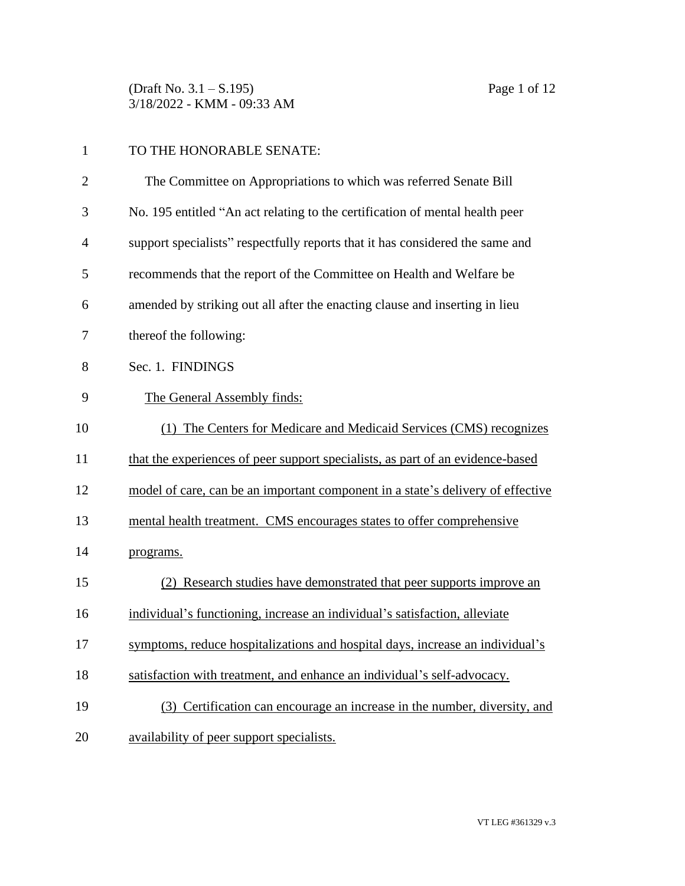(Draft No. 3.1 – S.195) Page 1 of 12 3/18/2022 - KMM - 09:33 AM

| $\mathbf{1}$   | TO THE HONORABLE SENATE:                                                        |  |
|----------------|---------------------------------------------------------------------------------|--|
| $\overline{2}$ | The Committee on Appropriations to which was referred Senate Bill               |  |
| 3              | No. 195 entitled "An act relating to the certification of mental health peer    |  |
| $\overline{4}$ | support specialists" respectfully reports that it has considered the same and   |  |
| 5              | recommends that the report of the Committee on Health and Welfare be            |  |
| 6              | amended by striking out all after the enacting clause and inserting in lieu     |  |
| 7              | thereof the following:                                                          |  |
| 8              | Sec. 1. FINDINGS                                                                |  |
| 9              | The General Assembly finds:                                                     |  |
| 10             | (1) The Centers for Medicare and Medicaid Services (CMS) recognizes             |  |
| 11             | that the experiences of peer support specialists, as part of an evidence-based  |  |
| 12             | model of care, can be an important component in a state's delivery of effective |  |
| 13             | mental health treatment. CMS encourages states to offer comprehensive           |  |
| 14             | programs.                                                                       |  |
| 15             | (2) Research studies have demonstrated that peer supports improve an            |  |
| 16             | individual's functioning, increase an individual's satisfaction, alleviate      |  |
| 17             | symptoms, reduce hospitalizations and hospital days, increase an individual's   |  |
| 18             | satisfaction with treatment, and enhance an individual's self-advocacy.         |  |
| 19             | (3) Certification can encourage an increase in the number, diversity, and       |  |
| 20             | availability of peer support specialists.                                       |  |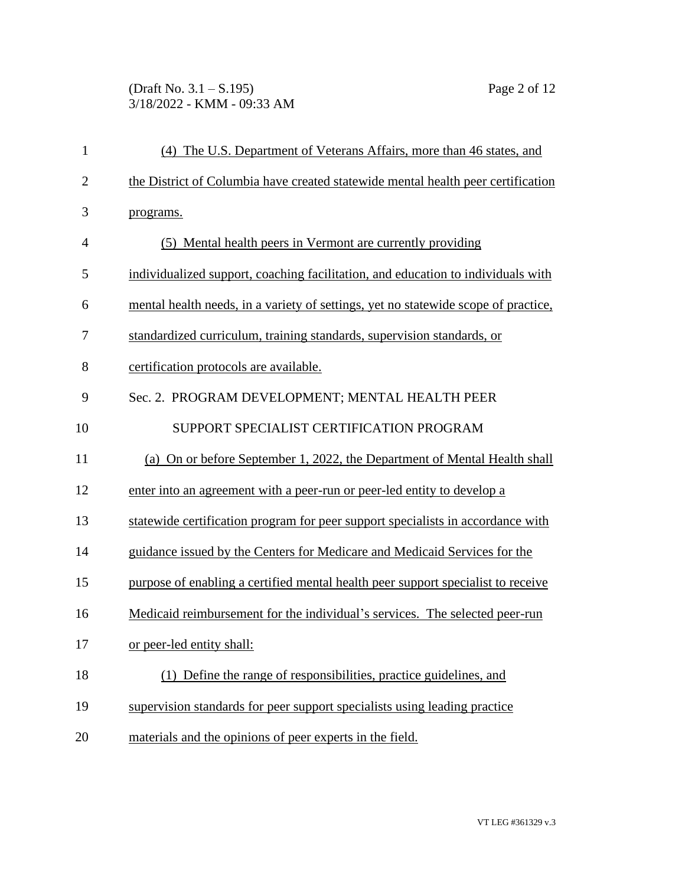(Draft No. 3.1 – S.195) Page 2 of 12 3/18/2022 - KMM - 09:33 AM

| $\mathbf{1}$   | (4) The U.S. Department of Veterans Affairs, more than 46 states, and              |  |
|----------------|------------------------------------------------------------------------------------|--|
| $\mathbf{2}$   | the District of Columbia have created statewide mental health peer certification   |  |
| 3              | programs.                                                                          |  |
| $\overline{4}$ | (5) Mental health peers in Vermont are currently providing                         |  |
| 5              | individualized support, coaching facilitation, and education to individuals with   |  |
| 6              | mental health needs, in a variety of settings, yet no statewide scope of practice, |  |
| 7              | standardized curriculum, training standards, supervision standards, or             |  |
| 8              | certification protocols are available.                                             |  |
| 9              | Sec. 2. PROGRAM DEVELOPMENT; MENTAL HEALTH PEER                                    |  |
| 10             | SUPPORT SPECIALIST CERTIFICATION PROGRAM                                           |  |
| 11             | (a) On or before September 1, 2022, the Department of Mental Health shall          |  |
| 12             | enter into an agreement with a peer-run or peer-led entity to develop a            |  |
| 13             | statewide certification program for peer support specialists in accordance with    |  |
| 14             | guidance issued by the Centers for Medicare and Medicaid Services for the          |  |
| 15             | purpose of enabling a certified mental health peer support specialist to receive   |  |
| 16             | Medicaid reimbursement for the individual's services. The selected peer-run        |  |
| 17             | or peer-led entity shall:                                                          |  |
| 18             | (1) Define the range of responsibilities, practice guidelines, and                 |  |
| 19             | supervision standards for peer support specialists using leading practice          |  |
| 20             | materials and the opinions of peer experts in the field.                           |  |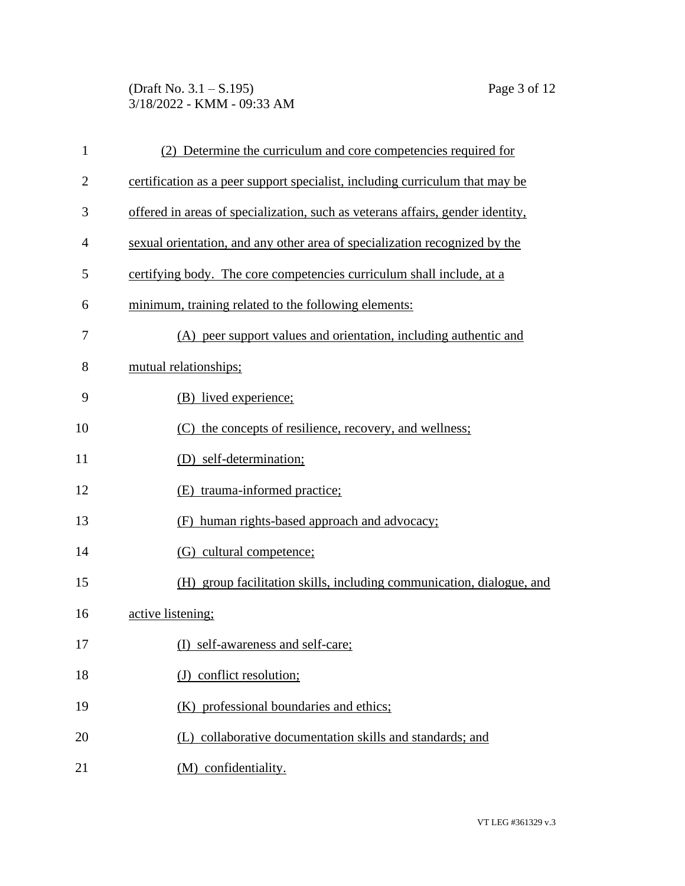(Draft No. 3.1 – S.195) Page 3 of 12 3/18/2022 - KMM - 09:33 AM

| $\mathbf{1}$   | (2) Determine the curriculum and core competencies required for                |  |  |
|----------------|--------------------------------------------------------------------------------|--|--|
| $\overline{2}$ | certification as a peer support specialist, including curriculum that may be   |  |  |
| 3              | offered in areas of specialization, such as veterans affairs, gender identity, |  |  |
| 4              | sexual orientation, and any other area of specialization recognized by the     |  |  |
| 5              | certifying body. The core competencies curriculum shall include, at a          |  |  |
| 6              | minimum, training related to the following elements:                           |  |  |
| 7              | (A) peer support values and orientation, including authentic and               |  |  |
| 8              | mutual relationships;                                                          |  |  |
| 9              | (B) lived experience;                                                          |  |  |
| 10             | (C) the concepts of resilience, recovery, and wellness;                        |  |  |
| 11             | (D) self-determination;                                                        |  |  |
| 12             | (E) trauma-informed practice;                                                  |  |  |
| 13             | human rights-based approach and advocacy;<br>(F)                               |  |  |
| 14             | (G) cultural competence;                                                       |  |  |
| 15             | (H) group facilitation skills, including communication, dialogue, and          |  |  |
| 16             | active listening;                                                              |  |  |
| 17             | (I) self-awareness and self-care;                                              |  |  |
| 18             | (J) conflict resolution;                                                       |  |  |
| 19             | (K) professional boundaries and ethics;                                        |  |  |
| 20             | (L) collaborative documentation skills and standards; and                      |  |  |
| 21             | (M) confidentiality.                                                           |  |  |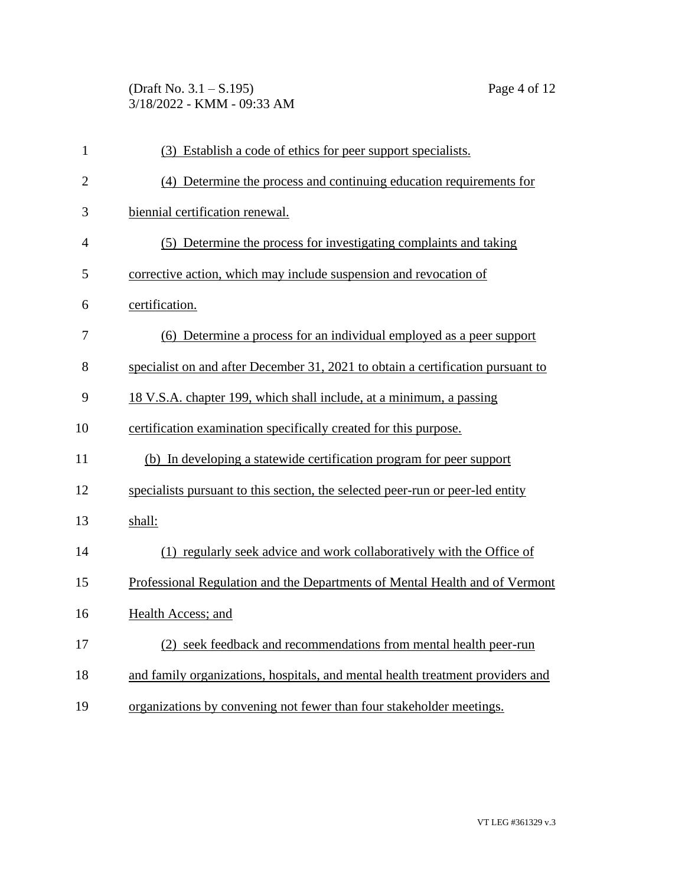(Draft No. 3.1 – S.195) Page 4 of 12 3/18/2022 - KMM - 09:33 AM

| $\mathbf{1}$   | (3) Establish a code of ethics for peer support specialists.                    |  |  |
|----------------|---------------------------------------------------------------------------------|--|--|
| $\overline{2}$ | (4) Determine the process and continuing education requirements for             |  |  |
| 3              | biennial certification renewal.                                                 |  |  |
| 4              | (5) Determine the process for investigating complaints and taking               |  |  |
| 5              | corrective action, which may include suspension and revocation of               |  |  |
| 6              | certification.                                                                  |  |  |
| 7              | (6) Determine a process for an individual employed as a peer support            |  |  |
| 8              | specialist on and after December 31, 2021 to obtain a certification pursuant to |  |  |
| 9              | 18 V.S.A. chapter 199, which shall include, at a minimum, a passing             |  |  |
| 10             | certification examination specifically created for this purpose.                |  |  |
| 11             | (b) In developing a statewide certification program for peer support            |  |  |
| 12             | specialists pursuant to this section, the selected peer-run or peer-led entity  |  |  |
| 13             | shall:                                                                          |  |  |
| 14             | (1) regularly seek advice and work collaboratively with the Office of           |  |  |
| 15             | Professional Regulation and the Departments of Mental Health and of Vermont     |  |  |
| 16             | Health Access; and                                                              |  |  |
| 17             | (2) seek feedback and recommendations from mental health peer-run               |  |  |
| 18             | and family organizations, hospitals, and mental health treatment providers and  |  |  |
| 19             | organizations by convening not fewer than four stakeholder meetings.            |  |  |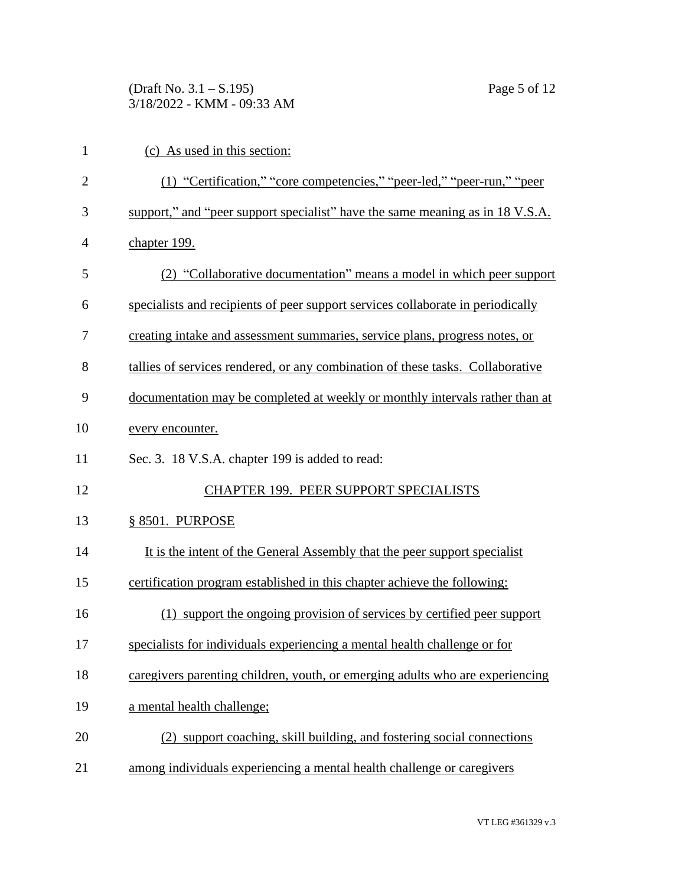(Draft No. 3.1 – S.195) Page 5 of 12 3/18/2022 - KMM - 09:33 AM

| $\mathbf{1}$   | (c) As used in this section:                                                    |  |  |  |
|----------------|---------------------------------------------------------------------------------|--|--|--|
| $\overline{2}$ | (1) "Certification," "core competencies," "peer-led," "peer-run," "peer         |  |  |  |
| 3              | support," and "peer support specialist" have the same meaning as in 18 V.S.A.   |  |  |  |
| $\overline{4}$ | chapter 199.                                                                    |  |  |  |
| 5              | (2) "Collaborative documentation" means a model in which peer support           |  |  |  |
| 6              | specialists and recipients of peer support services collaborate in periodically |  |  |  |
| 7              | creating intake and assessment summaries, service plans, progress notes, or     |  |  |  |
| 8              | tallies of services rendered, or any combination of these tasks. Collaborative  |  |  |  |
| 9              | documentation may be completed at weekly or monthly intervals rather than at    |  |  |  |
| 10             | every encounter.                                                                |  |  |  |
| 11             | Sec. 3. 18 V.S.A. chapter 199 is added to read:                                 |  |  |  |
| 12             | CHAPTER 199. PEER SUPPORT SPECIALISTS                                           |  |  |  |
| 13             | § 8501. PURPOSE                                                                 |  |  |  |
| 14             | It is the intent of the General Assembly that the peer support specialist       |  |  |  |
| 15             | certification program established in this chapter achieve the following:        |  |  |  |
| 16             | (1) support the ongoing provision of services by certified peer support         |  |  |  |
| 17             | specialists for individuals experiencing a mental health challenge or for       |  |  |  |
| 18             | caregivers parenting children, youth, or emerging adults who are experiencing   |  |  |  |
| 19             | a mental health challenge;                                                      |  |  |  |
| 20             | (2) support coaching, skill building, and fostering social connections          |  |  |  |
| 21             | among individuals experiencing a mental health challenge or caregivers          |  |  |  |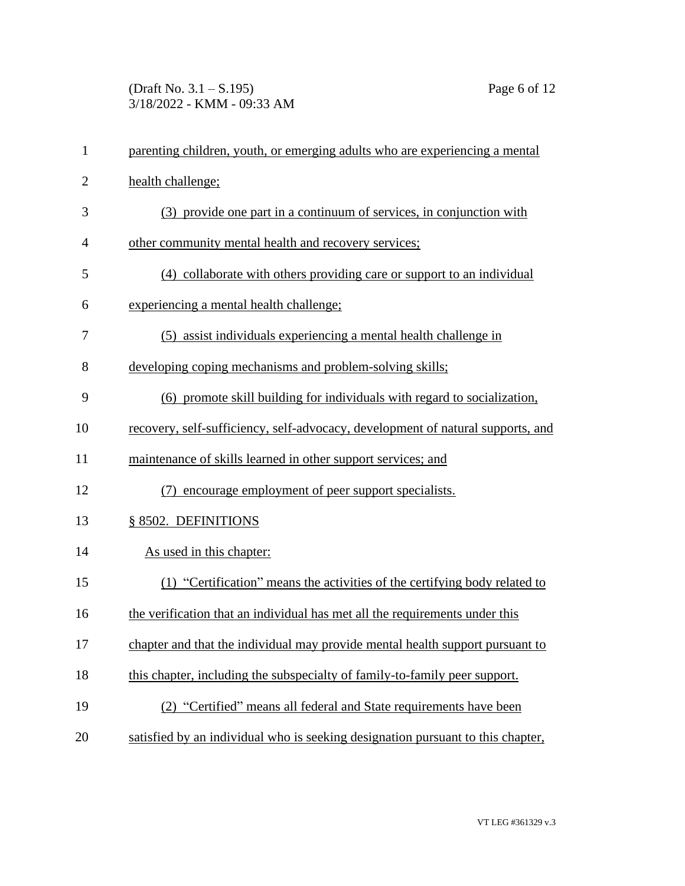(Draft No. 3.1 – S.195) Page 6 of 12 3/18/2022 - KMM - 09:33 AM

| $\mathbf{1}$   | parenting children, youth, or emerging adults who are experiencing a mental     |  |
|----------------|---------------------------------------------------------------------------------|--|
| $\overline{2}$ | health challenge;                                                               |  |
| 3              | (3) provide one part in a continuum of services, in conjunction with            |  |
| $\overline{4}$ | other community mental health and recovery services;                            |  |
| 5              | (4) collaborate with others providing care or support to an individual          |  |
| 6              | experiencing a mental health challenge;                                         |  |
| 7              | (5) assist individuals experiencing a mental health challenge in                |  |
| 8              | developing coping mechanisms and problem-solving skills;                        |  |
| 9              | (6) promote skill building for individuals with regard to socialization,        |  |
| 10             | recovery, self-sufficiency, self-advocacy, development of natural supports, and |  |
| 11             | maintenance of skills learned in other support services; and                    |  |
| 12             | (7) encourage employment of peer support specialists.                           |  |
| 13             | § 8502. DEFINITIONS                                                             |  |
| 14             | As used in this chapter:                                                        |  |
| 15             | (1) "Certification" means the activities of the certifying body related to      |  |
| 16             | the verification that an individual has met all the requirements under this     |  |
| 17             | chapter and that the individual may provide mental health support pursuant to   |  |
| 18             | this chapter, including the subspecialty of family-to-family peer support.      |  |
| 19             | (2) "Certified" means all federal and State requirements have been              |  |
| 20             | satisfied by an individual who is seeking designation pursuant to this chapter, |  |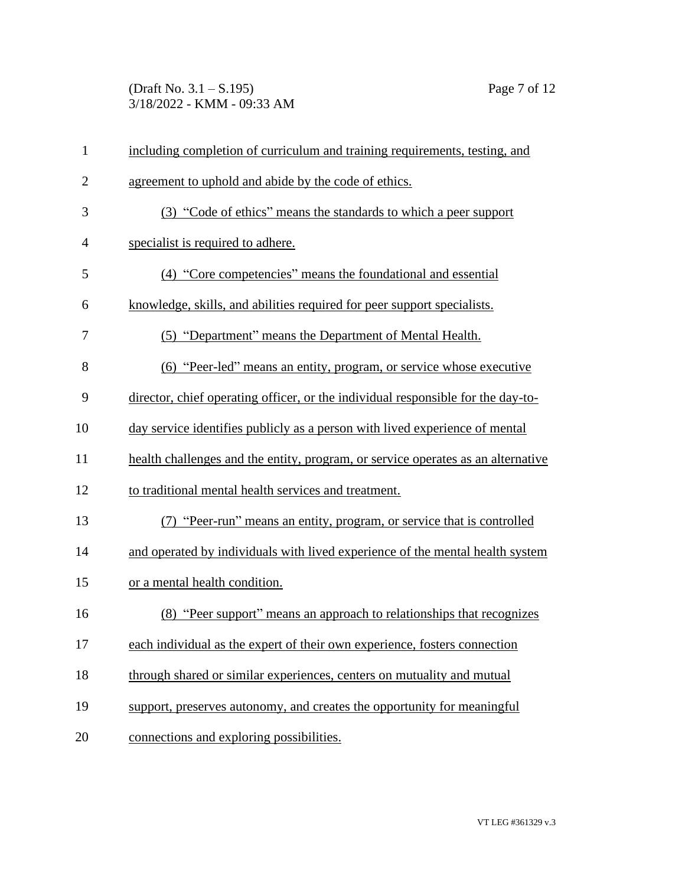(Draft No. 3.1 – S.195) Page 7 of 12 3/18/2022 - KMM - 09:33 AM

| $\mathbf{1}$   | including completion of curriculum and training requirements, testing, and       |  |
|----------------|----------------------------------------------------------------------------------|--|
| $\overline{2}$ | agreement to uphold and abide by the code of ethics.                             |  |
| 3              | (3) "Code of ethics" means the standards to which a peer support                 |  |
| $\overline{4}$ | specialist is required to adhere.                                                |  |
| 5              | (4) "Core competencies" means the foundational and essential                     |  |
| 6              | knowledge, skills, and abilities required for peer support specialists.          |  |
| 7              | (5) "Department" means the Department of Mental Health.                          |  |
| 8              | (6) "Peer-led" means an entity, program, or service whose executive              |  |
| 9              | director, chief operating officer, or the individual responsible for the day-to- |  |
| 10             | day service identifies publicly as a person with lived experience of mental      |  |
| 11             | health challenges and the entity, program, or service operates as an alternative |  |
| 12             | to traditional mental health services and treatment.                             |  |
| 13             | (7) "Peer-run" means an entity, program, or service that is controlled           |  |
| 14             | and operated by individuals with lived experience of the mental health system    |  |
| 15             | or a mental health condition.                                                    |  |
| 16             | (8) "Peer support" means an approach to relationships that recognizes            |  |
| 17             | each individual as the expert of their own experience, fosters connection        |  |
| 18             | through shared or similar experiences, centers on mutuality and mutual           |  |
| 19             | support, preserves autonomy, and creates the opportunity for meaningful          |  |
| 20             | connections and exploring possibilities.                                         |  |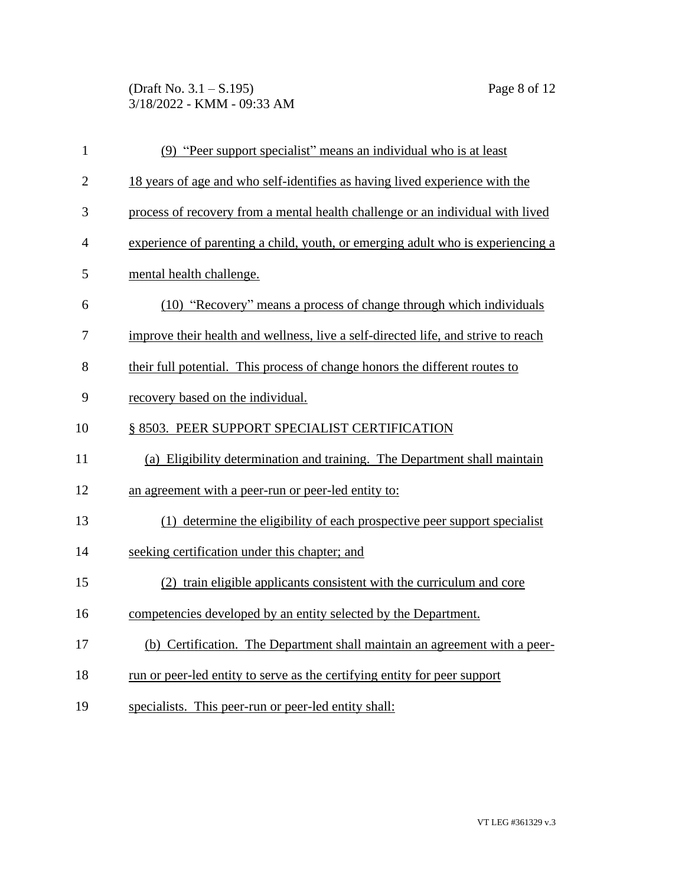(Draft No. 3.1 – S.195) Page 8 of 12 3/18/2022 - KMM - 09:33 AM

| $\mathbf{1}$   | (9) "Peer support specialist" means an individual who is at least                 |  |  |
|----------------|-----------------------------------------------------------------------------------|--|--|
| $\overline{2}$ | 18 years of age and who self-identifies as having lived experience with the       |  |  |
| 3              | process of recovery from a mental health challenge or an individual with lived    |  |  |
| $\overline{4}$ | experience of parenting a child, youth, or emerging adult who is experiencing a   |  |  |
| 5              | mental health challenge.                                                          |  |  |
| 6              | (10) "Recovery" means a process of change through which individuals               |  |  |
| 7              | improve their health and wellness, live a self-directed life, and strive to reach |  |  |
| 8              | their full potential. This process of change honors the different routes to       |  |  |
| 9              | recovery based on the individual.                                                 |  |  |
| 10             | § 8503. PEER SUPPORT SPECIALIST CERTIFICATION                                     |  |  |
| 11             | (a) Eligibility determination and training. The Department shall maintain         |  |  |
| 12             | an agreement with a peer-run or peer-led entity to:                               |  |  |
| 13             | (1) determine the eligibility of each prospective peer support specialist         |  |  |
| 14             | seeking certification under this chapter; and                                     |  |  |
| 15             | (2) train eligible applicants consistent with the curriculum and core             |  |  |
| 16             | competencies developed by an entity selected by the Department.                   |  |  |
| 17             | (b) Certification. The Department shall maintain an agreement with a peer-        |  |  |
| 18             | run or peer-led entity to serve as the certifying entity for peer support         |  |  |
| 19             | specialists. This peer-run or peer-led entity shall:                              |  |  |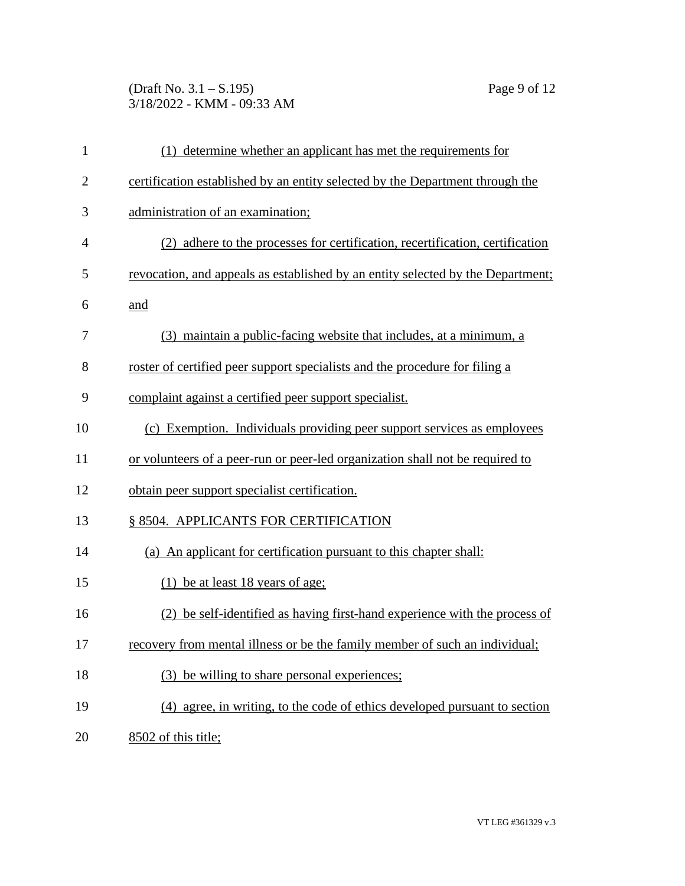(Draft No. 3.1 – S.195) Page 9 of 12 3/18/2022 - KMM - 09:33 AM

| $\mathbf{1}$   | (1) determine whether an applicant has met the requirements for                 |  |  |
|----------------|---------------------------------------------------------------------------------|--|--|
| $\overline{2}$ | certification established by an entity selected by the Department through the   |  |  |
| 3              | administration of an examination;                                               |  |  |
| 4              | (2) adhere to the processes for certification, recertification, certification   |  |  |
| 5              | revocation, and appeals as established by an entity selected by the Department; |  |  |
| 6              | and                                                                             |  |  |
| 7              | (3) maintain a public-facing website that includes, at a minimum, a             |  |  |
| 8              | roster of certified peer support specialists and the procedure for filing a     |  |  |
| 9              | complaint against a certified peer support specialist.                          |  |  |
| 10             | (c) Exemption. Individuals providing peer support services as employees         |  |  |
| 11             | or volunteers of a peer-run or peer-led organization shall not be required to   |  |  |
| 12             | obtain peer support specialist certification.                                   |  |  |
| 13             | § 8504. APPLICANTS FOR CERTIFICATION                                            |  |  |
| 14             | (a) An applicant for certification pursuant to this chapter shall:              |  |  |
| 15             | (1) be at least 18 years of age;                                                |  |  |
| 16             | (2) be self-identified as having first-hand experience with the process of      |  |  |
| 17             | recovery from mental illness or be the family member of such an individual;     |  |  |
| 18             | be willing to share personal experiences;<br>(3)                                |  |  |
| 19             | (4) agree, in writing, to the code of ethics developed pursuant to section      |  |  |
| 20             | 8502 of this title;                                                             |  |  |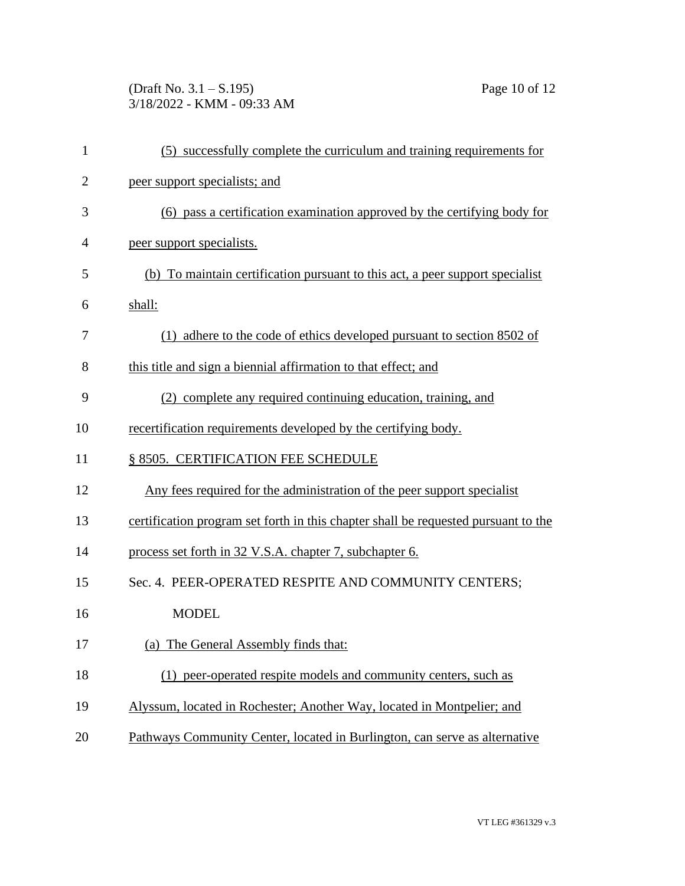(Draft No. 3.1 – S.195) Page 10 of 12 3/18/2022 - KMM - 09:33 AM

| $\mathbf{1}$   | (5) successfully complete the curriculum and training requirements for             |
|----------------|------------------------------------------------------------------------------------|
| $\overline{2}$ | peer support specialists; and                                                      |
| 3              | (6) pass a certification examination approved by the certifying body for           |
| 4              | peer support specialists.                                                          |
| 5              | (b) To maintain certification pursuant to this act, a peer support specialist      |
| 6              | shall:                                                                             |
| 7              | (1) adhere to the code of ethics developed pursuant to section 8502 of             |
| 8              | this title and sign a biennial affirmation to that effect; and                     |
| 9              | (2) complete any required continuing education, training, and                      |
| 10             | recertification requirements developed by the certifying body.                     |
| 11             | § 8505. CERTIFICATION FEE SCHEDULE                                                 |
| 12             | Any fees required for the administration of the peer support specialist            |
| 13             | certification program set forth in this chapter shall be requested pursuant to the |
| 14             | process set forth in 32 V.S.A. chapter 7, subchapter 6.                            |
| 15             | Sec. 4. PEER-OPERATED RESPITE AND COMMUNITY CENTERS;                               |
| 16             | <b>MODEL</b>                                                                       |
| 17             | The General Assembly finds that:<br>(a)                                            |
| 18             | (1) peer-operated respite models and community centers, such as                    |
| 19             | Alyssum, located in Rochester; Another Way, located in Montpelier; and             |
| 20             | Pathways Community Center, located in Burlington, can serve as alternative         |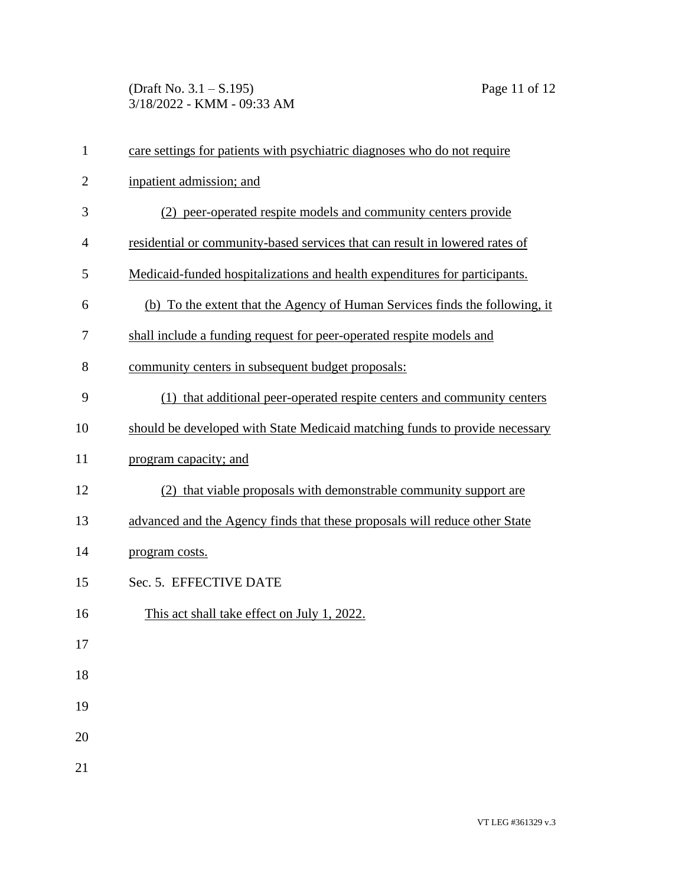(Draft No. 3.1 – S.195) Page 11 of 12 3/18/2022 - KMM - 09:33 AM

| $\mathbf{1}$   | care settings for patients with psychiatric diagnoses who do not require    |
|----------------|-----------------------------------------------------------------------------|
| $\overline{2}$ | inpatient admission; and                                                    |
| 3              | (2) peer-operated respite models and community centers provide              |
| 4              | residential or community-based services that can result in lowered rates of |
| 5              | Medicaid-funded hospitalizations and health expenditures for participants.  |
| 6              | (b) To the extent that the Agency of Human Services finds the following, it |
| 7              | shall include a funding request for peer-operated respite models and        |
| 8              | community centers in subsequent budget proposals:                           |
| 9              | (1) that additional peer-operated respite centers and community centers     |
| 10             | should be developed with State Medicaid matching funds to provide necessary |
| 11             | program capacity; and                                                       |
| 12             | (2) that viable proposals with demonstrable community support are           |
| 13             | advanced and the Agency finds that these proposals will reduce other State  |
| 14             | program costs.                                                              |
| 15             | Sec. 5. EFFECTIVE DATE                                                      |
| 16             | This act shall take effect on July 1, 2022.                                 |
| 17             |                                                                             |
| 18             |                                                                             |
| 19             |                                                                             |
| 20             |                                                                             |
| 21             |                                                                             |